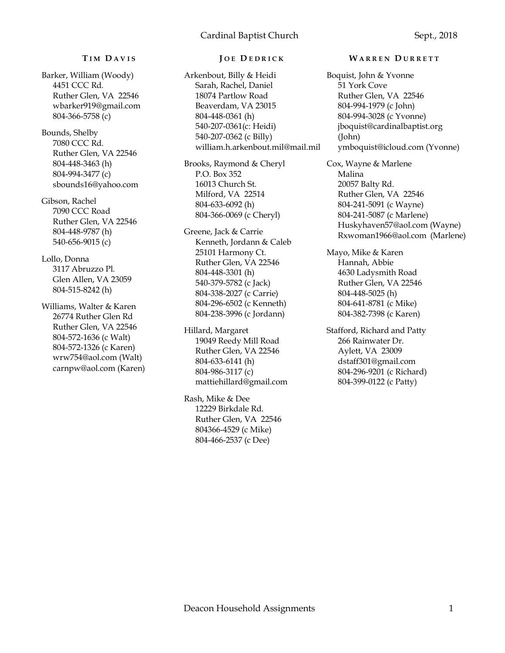# **T I M D A V I S**

Barker, William (Woody) 4451 CCC Rd. Ruther Glen, VA 22546 wbarker919@gmail.com 804-366-5758 (c)

Bounds, Shelby 7080 CCC Rd. Ruther Glen, VA 22546 804-448-3463 (h) 804-994-3477 (c) sbounds16@yahoo.com

Gibson, Rachel 7090 CCC Road Ruther Glen, VA 22546 804-448-9787 (h) 540-656-9015 (c)

Lollo, Donna 3117 Abruzzo Pl. Glen Allen, VA 23059 804-515-8242 (h)

Williams, Walter & Karen 26774 Ruther Glen Rd Ruther Glen, VA 22546 804-572-1636 (c Walt) 804-572-1326 (c Karen) wrw754@aol.com (Walt) carnpw@aol.com (Karen)

## **J O E D E D R I C K**

Arkenbout, Billy & Heidi Sarah, Rachel, Daniel 18074 Partlow Road Beaverdam, VA 23015 804-448-0361 (h) 540-207-0361(c: Heidi) 540-207-0362 (c Billy) william.h.arkenbout.mil@mail.mil

Brooks, Raymond & Cheryl P.O. Box 352 16013 Church St. Milford, VA 22514 804-633-6092 (h) 804-366-0069 (c Cheryl)

Greene, Jack & Carrie Kenneth, Jordann & Caleb 25101 Harmony Ct. Ruther Glen, VA 22546 804-448-3301 (h) 540-379-5782 (c Jack) 804-338-2027 (c Carrie) 804-296-6502 (c Kenneth) 804-238-3996 (c Jordann)

Hillard, Margaret 19049 Reedy Mill Road Ruther Glen, VA 22546 804-633-6141 (h) 804-986-3117 (c) mattiehillard@gmail.com

Rash, Mike & Dee 12229 Birkdale Rd. Ruther Glen, VA 22546 804366-4529 (c Mike) 804-466-2537 (c Dee)

#### **W A R R E N D U R R E T T**

Boquist, John & Yvonne 51 York Cove Ruther Glen, VA 22546 804-994-1979 (c John) 804-994-3028 (c Yvonne) jboquist@cardinalbaptist.org (John) ymboquist@icloud.com (Yvonne)

Cox, Wayne & Marlene Malina 20057 Balty Rd. Ruther Glen, VA 22546 804-241-5091 (c Wayne) 804-241-5087 (c Marlene) Huskyhaven57@aol.com (Wayne) Rxwoman1966@aol.com (Marlene)

Mayo, Mike & Karen Hannah, Abbie 4630 Ladysmith Road Ruther Glen, VA 22546 804-448-5025 (h) 804-641-8781 (c Mike) 804-382-7398 (c Karen)

Stafford, Richard and Patty 266 Rainwater Dr. Aylett, VA 23009 dstaff301@gmail.com 804-296-9201 (c Richard) 804-399-0122 (c Patty)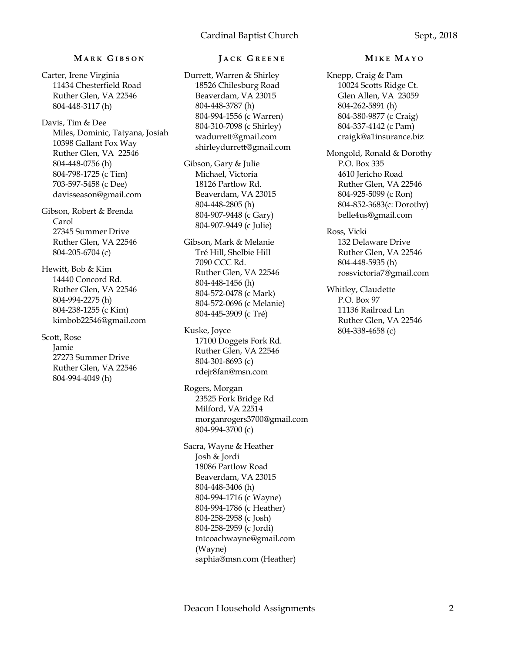# **M A R K G I B S O N**

Carter, Irene Virginia 11434 Chesterfield Road Ruther Glen, VA 22546 804-448-3117 (h)

Davis, Tim & Dee Miles, Dominic, Tatyana, Josiah 10398 Gallant Fox Way Ruther Glen, VA 22546 804-448-0756 (h) 804-798-1725 (c Tim) 703-597-5458 (c Dee) davisseason@gmail.com

Gibson, Robert & Brenda Carol 27345 Summer Drive Ruther Glen, VA 22546 804-205-6704 (c)

Hewitt, Bob & Kim 14440 Concord Rd. Ruther Glen, VA 22546 804-994-2275 (h) 804-238-1255 (c Kim) kimbob22546@gmail.com

Scott, Rose Jamie 27273 Summer Drive Ruther Glen, VA 22546 804-994-4049 (h)

# **J A C K G R E E N E**

Durrett, Warren & Shirley 18526 Chilesburg Road Beaverdam, VA 23015 804-448-3787 (h) 804-994-1556 (c Warren) 804-310-7098 (c Shirley) wadurrett@gmail.com shirleydurrett@gmail.com

Gibson, Gary & Julie Michael, Victoria 18126 Partlow Rd. Beaverdam, VA 23015 804-448-2805 (h) 804-907-9448 (c Gary) 804-907-9449 (c Julie)

Gibson, Mark & Melanie Tré Hill, Shelbie Hill 7090 CCC Rd. Ruther Glen, VA 22546 804-448-1456 (h) 804-572-0478 (c Mark) 804-572-0696 (c Melanie) 804-445-3909 (c Tré)

Kuske, Joyce 17100 Doggets Fork Rd. Ruther Glen, VA 22546 804-301-8693 (c) rdejr8fan@msn.com

Rogers, Morgan 23525 Fork Bridge Rd Milford, VA 22514 morganrogers3700@gmail.com 804-994-3700 (c)

Sacra, Wayne & Heather Josh & Jordi 18086 Partlow Road Beaverdam, VA 23015 804-448-3406 (h) 804-994-1716 (c Wayne) 804-994-1786 (c Heather) 804-258-2958 (c Josh) 804-258-2959 (c Jordi) tntcoachwayne@gmail.com (Wayne) saphia@msn.com (Heather)

### **M I K E M A Y O**

Knepp, Craig & Pam 10024 Scotts Ridge Ct. Glen Allen, VA 23059 804-262-5891 (h) 804-380-9877 (c Craig) 804-337-4142 (c Pam) craigk@a1insurance.biz

Mongold, Ronald & Dorothy P.O. Box 335 4610 Jericho Road Ruther Glen, VA 22546 804-925-5099 (c Ron) 804-852-3683(c: Dorothy) belle4us@gmail.com

Ross, Vicki 132 Delaware Drive Ruther Glen, VA 22546 804-448-5935 (h) rossvictoria7@gmail.com

Whitley, Claudette P.O. Box 97 11136 Railroad Ln Ruther Glen, VA 22546 804-338-4658 (c)